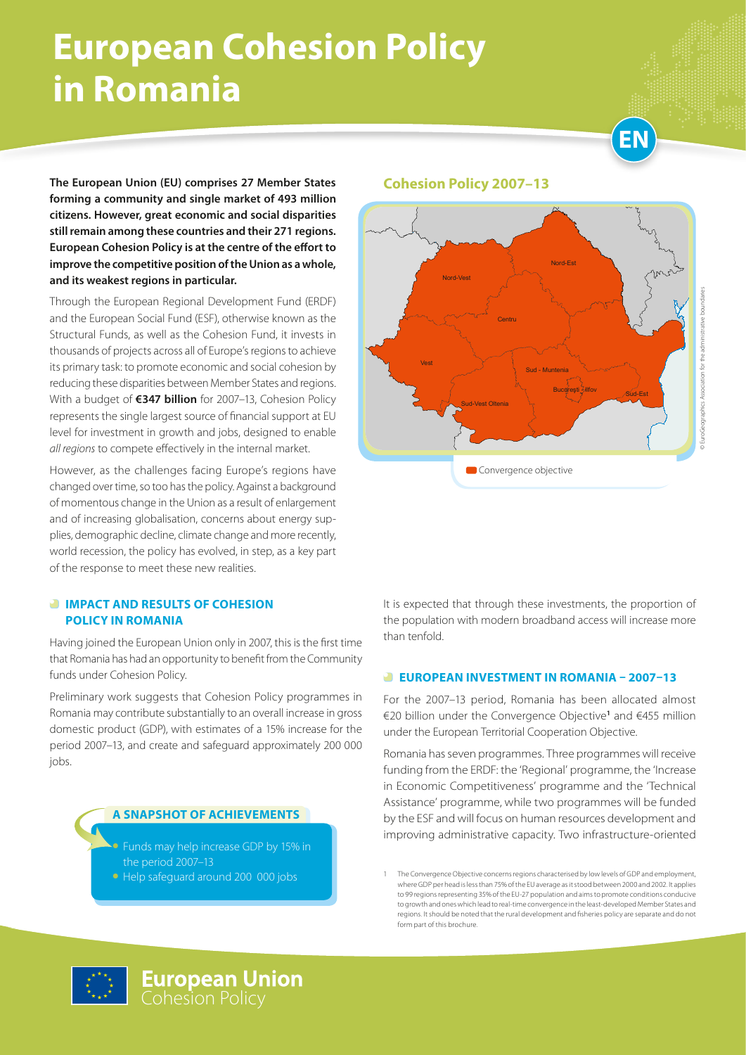# **European Cohesion Policy in Romania**



**The European Union (EU) comprises 27 Member States forming a community and single market of 493 million citizens. However, great economic and social disparities still remain among these countries and their 271 regions. European Cohesion Policy is at the centre of the effort to improve the competitive position of the Union as a whole, and its weakest regions in particular.**

Through the European Regional Development Fund (ERDF) and the European Social Fund (ESF), otherwise known as the Structural Funds, as well as the Cohesion Fund, it invests in thousands of projects across all of Europe's regions to achieve its primary task: to promote economic and social cohesion by reducing these disparities between Member States and regions. With a budget of **€347 billion** for 2007–13, Cohesion Policy represents the single largest source of financial support at EU level for investment in growth and jobs, designed to enable *all regions* to compete effectively in the internal market.

However, as the challenges facing Europe's regions have changed over time, so too has the policy. Against a background of momentous change in the Union as a result of enlargement and of increasing globalisation, concerns about energy supplies, demographic decline, climate change and more recently, world recession, the policy has evolved, in step, as a key part of the response to meet these new realities.

#### *<b>IMPACT AND RESULTS OF COHESION* **POLICY IN ROMANIA**

Having joined the European Union only in 2007, this is the first time that Romania has had an opportunity to benefit from the Community funds under Cohesion Policy.

Preliminary work suggests that Cohesion Policy programmes in Romania may contribute substantially to an overall increase in gross domestic product (GDP), with estimates of a 15% increase for the period 2007–13, and create and safeguard approximately 200 000 jobs.

#### **A SNAPSHOT OF ACHIEVEMENTS**

Funds may help increase GDP by 15% in the period 2007–13 • Help safeguard around 200 000 jobs

#### **Cohesion Policy 2007–13**



It is expected that through these investments, the proportion of the population with modern broadband access will increase more than tenfold.

#### **EUROPEAN INVESTMENT IN ROMANIA – 2007–13**

For the 2007–13 period, Romania has been allocated almost €20 billion under the Convergence Objective**<sup>1</sup>** and €455 million under the European Territorial Cooperation Objective.

Romania has seven programmes. Three programmes will receive funding from the ERDF: the 'Regional' programme, the 'Increase in Economic Competitiveness' programme and the 'Technical Assistance' programme, while two programmes will be funded by the ESF and will focus on human resources development and improving administrative capacity. Two infrastructure-oriented



<sup>1</sup> The Convergence Objective concerns regions characterised by low levels of GDP and employment, where GDP per head is less than 75% of the EU average as it stood between 2000 and 2002. It applies to 99 regions representing 35% of the EU-27 population and aims to promote conditions conducive to growth and ones which lead to real-time convergence in the least-developed Member States and regions. It should be noted that the rural development and fisheries policy are separate and do not form part of this brochure.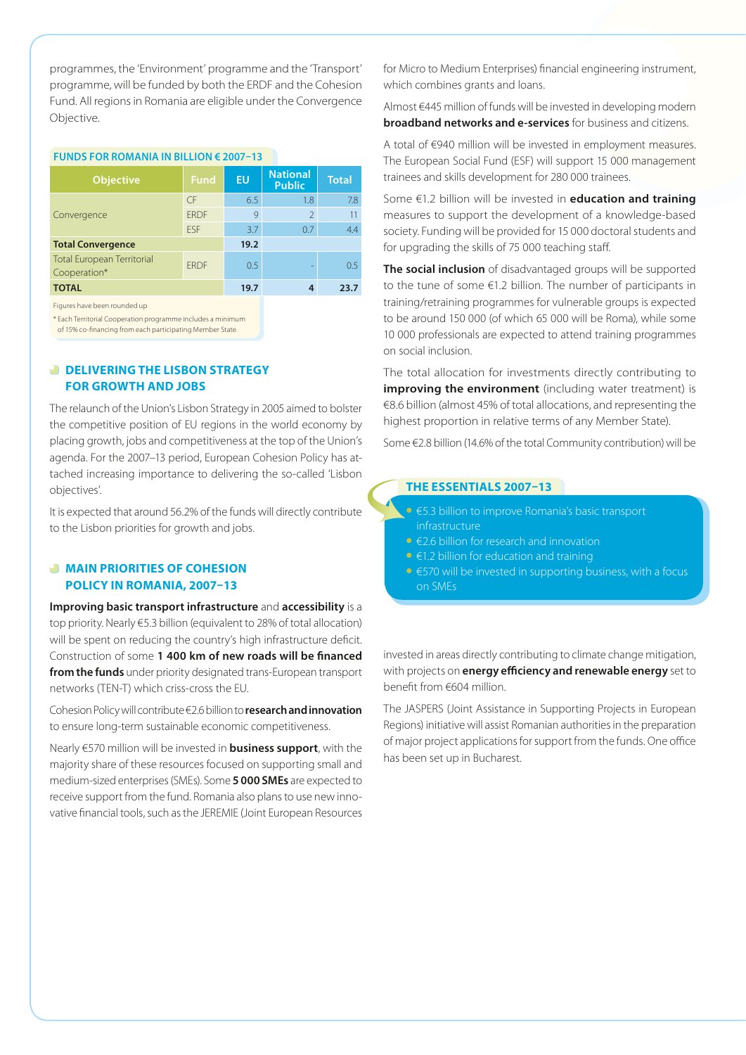programmes, the 'Environment' programme and the 'Transport' programme, will be funded by both the ERDF and the Cohesion Fund. All regions in Romania are eligible under the Convergence Objective.

#### **Funds for Romania in billion € 2007–13**

| <b>Objective</b>                                  | <b>Fund</b> | EU   | <b>National</b><br><b>Public</b> | <b>Total</b>  |
|---------------------------------------------------|-------------|------|----------------------------------|---------------|
| Convergence                                       | $\subset$ F | 6.5  | 1.8                              | 7.8           |
|                                                   | <b>FRDF</b> | 9    | $\mathfrak{D}$                   | 11            |
|                                                   | <b>FSF</b>  | 3.7  | 0.7                              | 4.4           |
| <b>Total Convergence</b>                          |             | 19.2 |                                  |               |
| <b>Total European Territorial</b><br>Cooperation* | <b>FRDF</b> | 0.5  |                                  | $0.5^{\circ}$ |
| <b>TOTAL</b>                                      |             | 19.7 |                                  | 23.7          |

Figures have been rounded up

\* Each Territorial Cooperation programme includes a minimum

of 15% co-financing from each participating Member State.

#### *DELIVERING THE LISBON STRATEGY* **FOR GROWTH AND JOBS**

The relaunch of the Union's Lisbon Strategy in 2005 aimed to bolster the competitive position of EU regions in the world economy by placing growth, jobs and competitiveness at the top of the Union's agenda. For the 2007–13 period, European Cohesion Policy has attached increasing importance to delivering the so-called 'Lisbon objectives'.

It is expected that around 56.2% of the funds will directly contribute to the Lisbon priorities for growth and jobs.

#### **MAIN PRIORITIES OF COHESION POLICY IN ROMANIA, 2007–13**

**Improving basic transport infrastructure** and **accessibility** is a top priority. Nearly €5.3 billion (equivalent to 28% of total allocation) will be spent on reducing the country's high infrastructure deficit. Construction of some **1 400 km of new roads will be financed from the funds** under priority designated trans-European transport networks (TEN-T) which criss-cross the EU.

Cohesion Policy will contribute €2.6 billion to **research and innovation** to ensure long-term sustainable economic competitiveness.

Nearly €570 million will be invested in **business support**, with the majority share of these resources focused on supporting small and medium-sized enterprises (SMEs). Some **5 000 SMEs** are expected to receive support from the fund. Romania also plans to use new innovative financial tools, such as the JEREMIE (Joint European Resources

for Micro to Medium Enterprises) financial engineering instrument, which combines grants and loans.

Almost €445 million of funds will be invested in developing modern **broadband networks and e-services** for business and citizens.

A total of €940 million will be invested in employment measures. The European Social Fund (ESF) will support 15 000 management trainees and skills development for 280 000 trainees.

Some €1.2 billion will be invested in **education and training** measures to support the development of a knowledge-based society. Funding will be provided for 15 000 doctoral students and for upgrading the skills of 75 000 teaching staff.

**The social inclusion** of disadvantaged groups will be supported to the tune of some €1.2 billion. The number of participants in training/retraining programmes for vulnerable groups is expected to be around 150 000 (of which 65 000 will be Roma), while some 10 000 professionals are expected to attend training programmes on social inclusion.

The total allocation for investments directly contributing to **improving the environment** (including water treatment) is €8.6 billion (almost 45% of total allocations, and representing the highest proportion in relative terms of any Member State).

Some €2.8 billion (14.6% of the total Community contribution) will be

#### **THE ESSENTIALS 2007–13**

- • €5.3 billion to improve Romania's basic transport
- • €2.6 billion for research and innovation
- $\bullet$   $\in$  1.2 billion for education and training
- €570 will be invested in supporting business, with a focus on SMEs

invested in areas directly contributing to climate change mitigation, with projects on **energy efficiency and renewable energy** set to benefit from €604 million.

The JASPERS (Joint Assistance in Supporting Projects in European Regions) initiative will assist Romanian authorities in the preparation of major project applications for support from the funds. One office has been set up in Bucharest.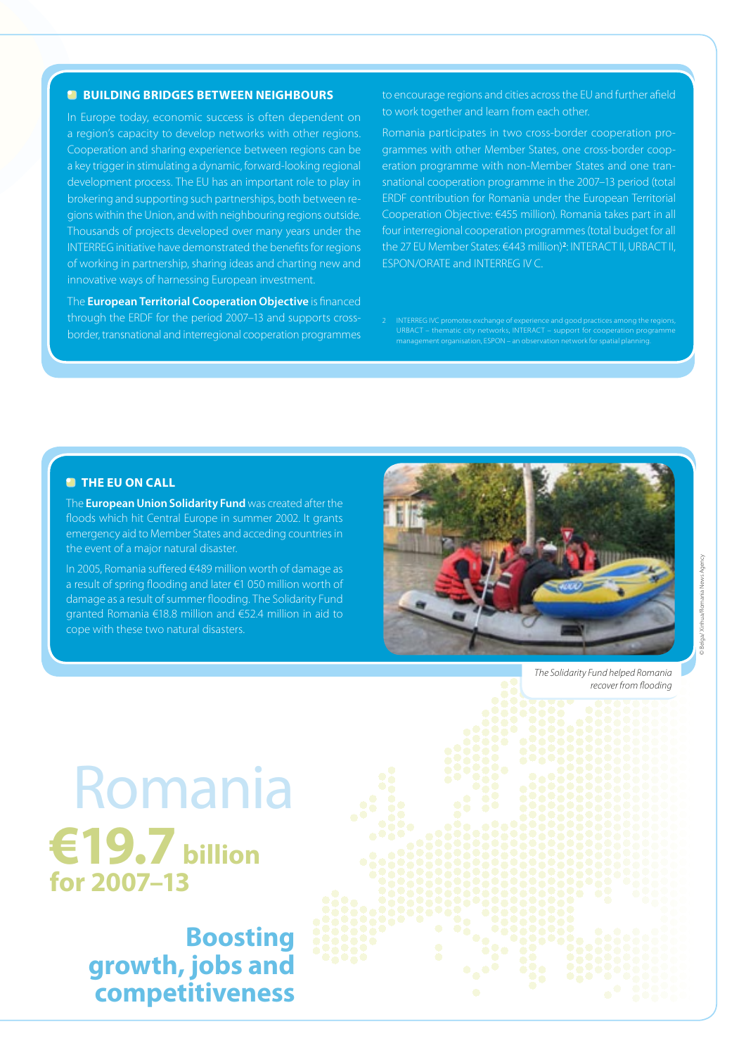#### **BUILDING BRIDGES BETWEEN NEIGHBOURS**

In Europe today, economic success is often dependent on a region's capacity to develop networks with other regions. Cooperation and sharing experience between regions can be a key trigger in stimulating a dynamic, forward-looking regional development process. The EU has an important role to play in brokering and supporting such partnerships, both between regions within the Union, and with neighbouring regions outside. Thousands of projects developed over many years under the INTERREG initiative have demonstrated the benefits for regions of working in partnership, sharing ideas and charting new and innovative ways of harnessing European investment.

The **European Territorial Cooperation Objective** is financed through the ERDF for the period 2007–13 and supports crossborder, transnational and interregional cooperation programmes to encourage regions and cities across the EU and further afield to work together and learn from each other.

Romania participates in two cross-border cooperation programmes with other Member States, one cross-border cooperation programme with non-Member States and one transnational cooperation programme in the 2007–13 period (total ERDF contribution for Romania under the European Territorial Cooperation Objective: €455 million). Romania takes part in all four interregional cooperation programmes (total budget for all the 27 EU Member States: €443 million)**<sup>2</sup>** : INTERACT II, URBACT II, ESPON/ORATE and INTERREG IV C.

URBACT – thematic city networks, INTERACT – support for cooperation programme management organisation, ESPON – an observation network for spatial planning.

#### **<sup><b>**</sup> THE EU ON CALL</sub>

The **European Union Solidarity Fund** was created after the floods which hit Central Europe in summer 2002. It grants emergency aid to Member States and acceding countries in the event of a major natural disaster.

In 2005, Romania suffered €489 million worth of damage as a result of spring flooding and later €1 050 million worth of damage as a result of summer flooding. The Solidarity Fund granted Romania €18.8 million and €52.4 million in aid to cope with these two natural disasters.



*The Solidarity Fund helped Romania recover from flooding*

Romania **€19.7 billion for 2007–13**

> **Boosting growth, jobs and competitiveness**